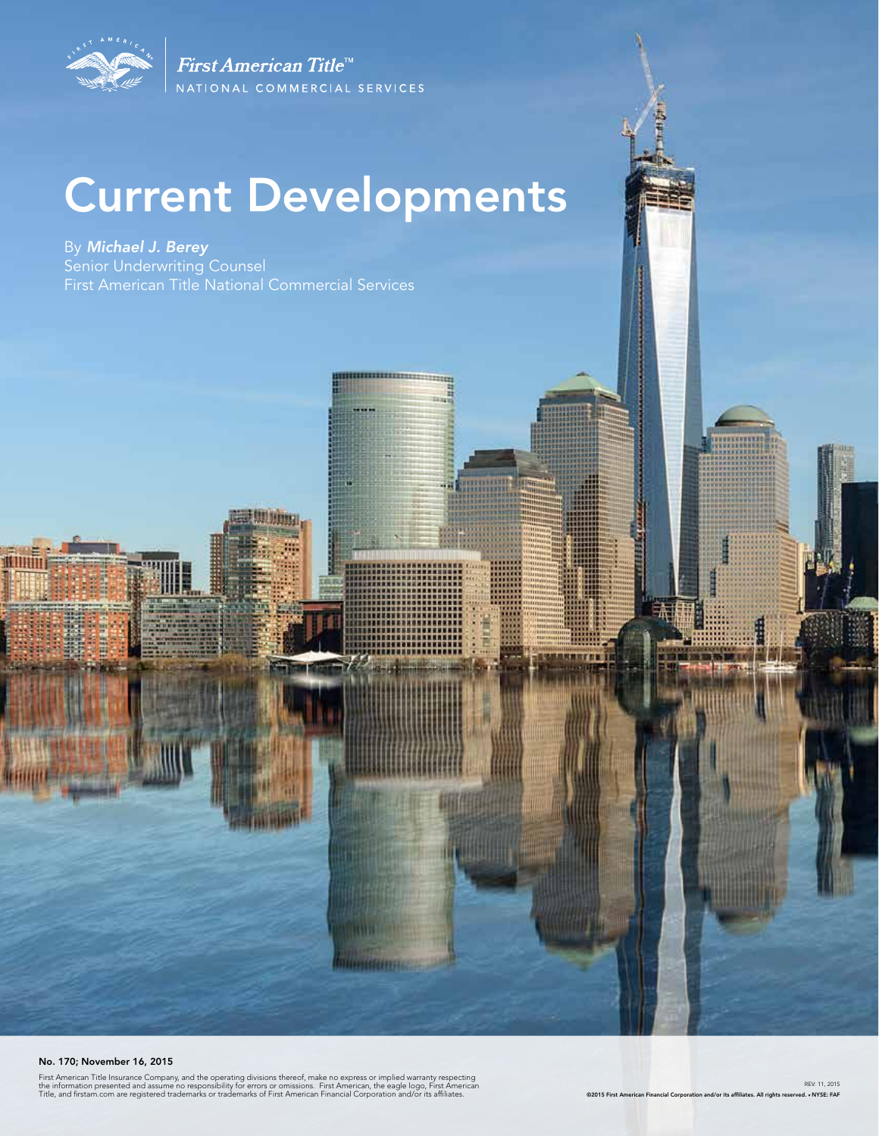

# Current Developments

,,,,,,,,,,,,,,,,,,,,,,,,,,,,

m

圃借

Witterstehreit

By *Michael J. Berey*  Senior Underwriting Counsel First American Title National Commercial Services

#### No. 170; November 16, 2015

 $\frac{1}{2}$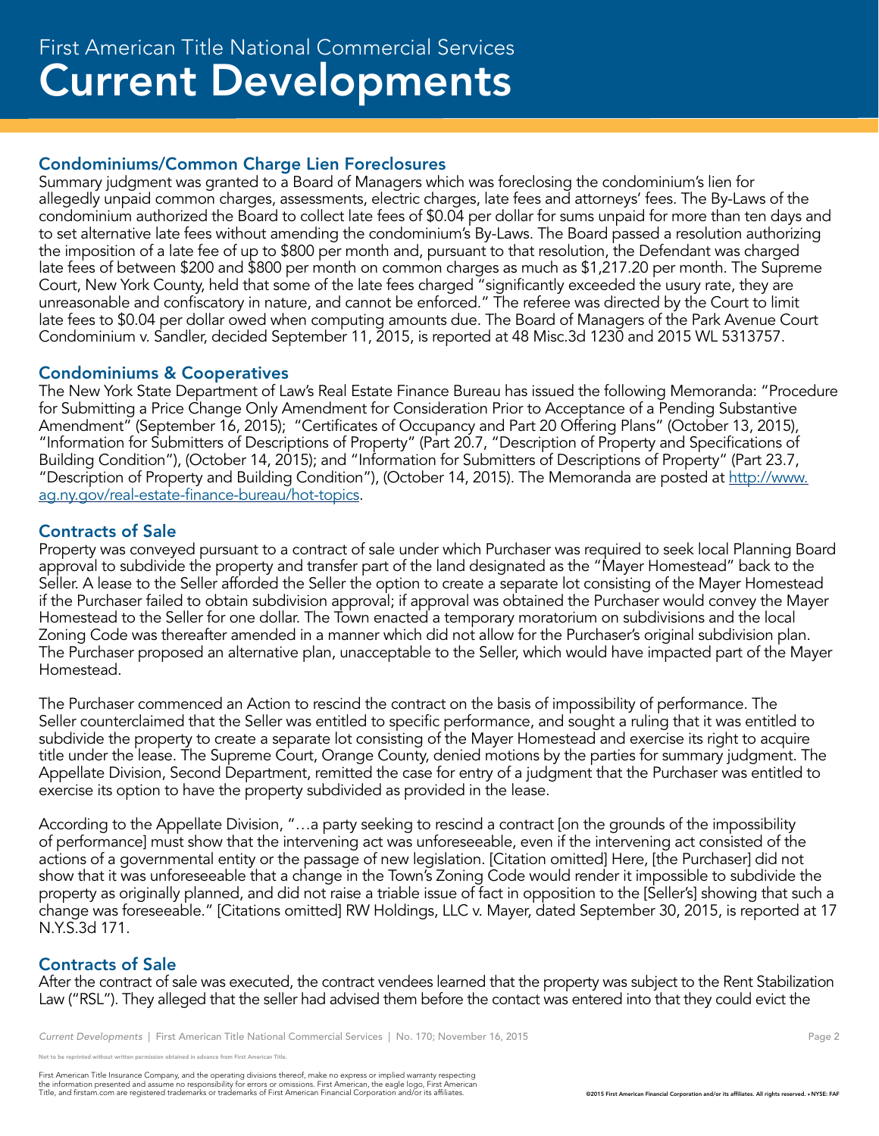#### Condominiums/Common Charge Lien Foreclosures

Summary judgment was granted to a Board of Managers which was foreclosing the condominium's lien for allegedly unpaid common charges, assessments, electric charges, late fees and attorneys' fees. The By-Laws of the condominium authorized the Board to collect late fees of \$0.04 per dollar for sums unpaid for more than ten days and to set alternative late fees without amending the condominium's By-Laws. The Board passed a resolution authorizing the imposition of a late fee of up to \$800 per month and, pursuant to that resolution, the Defendant was charged late fees of between \$200 and \$800 per month on common charges as much as \$1,217.20 per month. The Supreme Court, New York County, held that some of the late fees charged "significantly exceeded the usury rate, they are unreasonable and confiscatory in nature, and cannot be enforced." The referee was directed by the Court to limit late fees to \$0.04 per dollar owed when computing amounts due. The Board of Managers of the Park Avenue Court Condominium v. Sandler, decided September 11, 2015, is reported at 48 Misc.3d 1230 and 2015 WL 5313757.

#### Condominiums & Cooperatives

The New York State Department of Law's Real Estate Finance Bureau has issued the following Memoranda: "Procedure for Submitting a Price Change Only Amendment for Consideration Prior to Acceptance of a Pending Substantive Amendment" (September 16, 2015); "Certificates of Occupancy and Part 20 Offering Plans" (October 13, 2015), "Information for Submitters of Descriptions of Property" (Part 20.7, "Description of Property and Specifications of Building Condition"), (October 14, 2015); and "Information for Submitters of Descriptions of Property" (Part 23.7, "Description of Property and Building Condition"), (October 14, 2015). The Memoranda are posted at http://www. ag.ny.gov/real-estate-finance-bureau/hot-topics.

#### Contracts of Sale

Property was conveyed pursuant to a contract of sale under which Purchaser was required to seek local Planning Board approval to subdivide the property and transfer part of the land designated as the "Mayer Homestead" back to the Seller. A lease to the Seller afforded the Seller the option to create a separate lot consisting of the Mayer Homestead if the Purchaser failed to obtain subdivision approval; if approval was obtained the Purchaser would convey the Mayer Homestead to the Seller for one dollar. The Town enacted a temporary moratorium on subdivisions and the local Zoning Code was thereafter amended in a manner which did not allow for the Purchaser's original subdivision plan. The Purchaser proposed an alternative plan, unacceptable to the Seller, which would have impacted part of the Mayer Homestead.

The Purchaser commenced an Action to rescind the contract on the basis of impossibility of performance. The Seller counterclaimed that the Seller was entitled to specific performance, and sought a ruling that it was entitled to subdivide the property to create a separate lot consisting of the Mayer Homestead and exercise its right to acquire title under the lease. The Supreme Court, Orange County, denied motions by the parties for summary judgment. The Appellate Division, Second Department, remitted the case for entry of a judgment that the Purchaser was entitled to exercise its option to have the property subdivided as provided in the lease.

According to the Appellate Division, "…a party seeking to rescind a contract [on the grounds of the impossibility of performance] must show that the intervening act was unforeseeable, even if the intervening act consisted of the actions of a governmental entity or the passage of new legislation. [Citation omitted] Here, [the Purchaser] did not show that it was unforeseeable that a change in the Town's Zoning Code would render it impossible to subdivide the property as originally planned, and did not raise a triable issue of fact in opposition to the [Seller's] showing that such a change was foreseeable." [Citations omitted] RW Holdings, LLC v. Mayer, dated September 30, 2015, is reported at 17 N.Y.S.3d 171.

#### Contracts of Sale

After the contract of sale was executed, the contract vendees learned that the property was subject to the Rent Stabilization Law ("RSL"). They alleged that the seller had advised them before the contact was entered into that they could evict the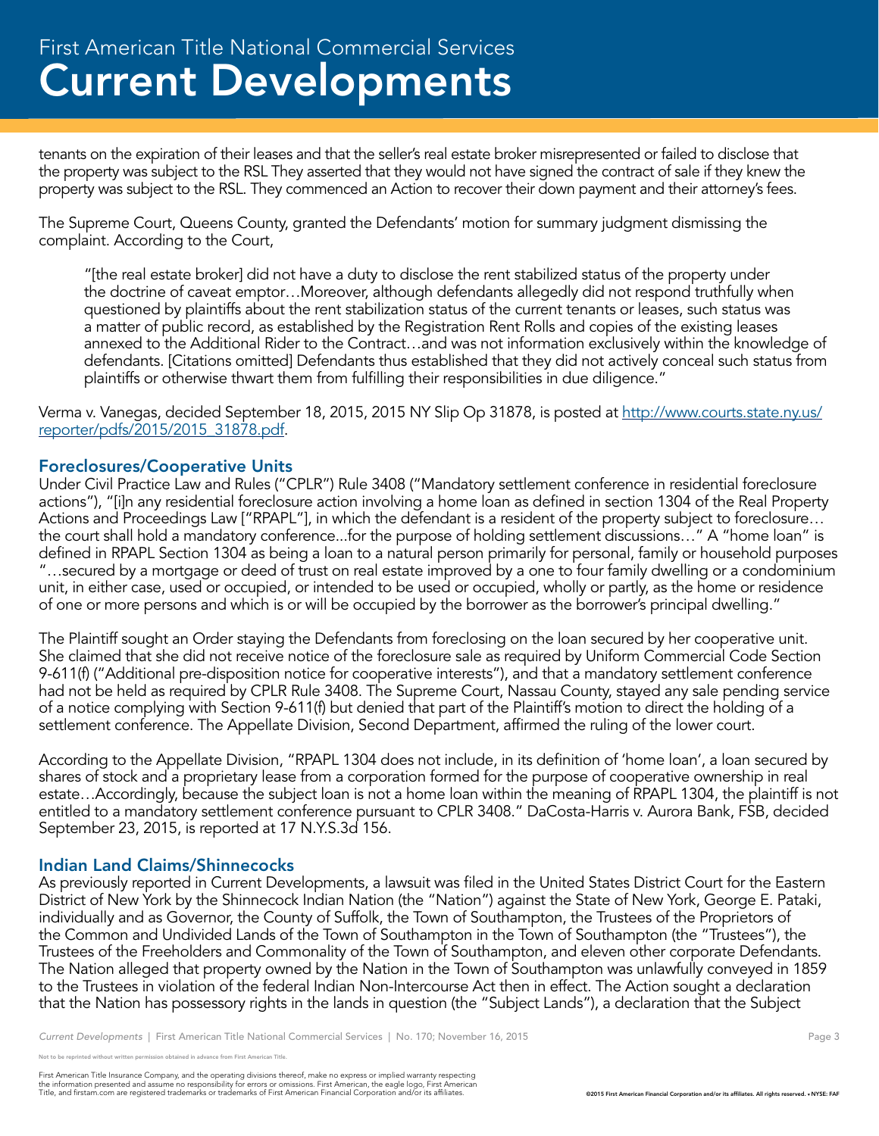## Current Developments First American Title National Commercial Services

tenants on the expiration of their leases and that the seller's real estate broker misrepresented or failed to disclose that the property was subject to the RSL They asserted that they would not have signed the contract of sale if they knew the property was subject to the RSL. They commenced an Action to recover their down payment and their attorney's fees.

The Supreme Court, Queens County, granted the Defendants' motion for summary judgment dismissing the complaint. According to the Court,

"[the real estate broker] did not have a duty to disclose the rent stabilized status of the property under the doctrine of caveat emptor…Moreover, although defendants allegedly did not respond truthfully when questioned by plaintiffs about the rent stabilization status of the current tenants or leases, such status was a matter of public record, as established by the Registration Rent Rolls and copies of the existing leases annexed to the Additional Rider to the Contract…and was not information exclusively within the knowledge of defendants. [Citations omitted] Defendants thus established that they did not actively conceal such status from plaintiffs or otherwise thwart them from fulfilling their responsibilities in due diligence."

Verma v. Vanegas, decided September 18, 2015, 2015 NY Slip Op 31878, is posted at http://www.courts.state.ny.us/ reporter/pdfs/2015/2015\_31878.pdf.

#### Foreclosures/Cooperative Units

Under Civil Practice Law and Rules ("CPLR") Rule 3408 ("Mandatory settlement conference in residential foreclosure actions"), "[i]n any residential foreclosure action involving a home loan as defined in section 1304 of the Real Property Actions and Proceedings Law ["RPAPL"], in which the defendant is a resident of the property subject to foreclosure… the court shall hold a mandatory conference...for the purpose of holding settlement discussions…" A "home loan" is defined in RPAPL Section 1304 as being a loan to a natural person primarily for personal, family or household purposes "…secured by a mortgage or deed of trust on real estate improved by a one to four family dwelling or a condominium unit, in either case, used or occupied, or intended to be used or occupied, wholly or partly, as the home or residence of one or more persons and which is or will be occupied by the borrower as the borrower's principal dwelling."

The Plaintiff sought an Order staying the Defendants from foreclosing on the loan secured by her cooperative unit. She claimed that she did not receive notice of the foreclosure sale as required by Uniform Commercial Code Section 9-611(f) ("Additional pre-disposition notice for cooperative interests"), and that a mandatory settlement conference had not be held as required by CPLR Rule 3408. The Supreme Court, Nassau County, stayed any sale pending service of a notice complying with Section 9-611(f) but denied that part of the Plaintiff's motion to direct the holding of a settlement conference. The Appellate Division, Second Department, affirmed the ruling of the lower court.

According to the Appellate Division, "RPAPL 1304 does not include, in its definition of 'home loan', a loan secured by shares of stock and a proprietary lease from a corporation formed for the purpose of cooperative ownership in real estate…Accordingly, because the subject loan is not a home loan within the meaning of RPAPL 1304, the plaintiff is not entitled to a mandatory settlement conference pursuant to CPLR 3408." DaCosta-Harris v. Aurora Bank, FSB, decided September 23, 2015, is reported at 17 N.Y.S.3d 156.

#### Indian Land Claims/Shinnecocks

As previously reported in Current Developments, a lawsuit was filed in the United States District Court for the Eastern District of New York by the Shinnecock Indian Nation (the "Nation") against the State of New York, George E. Pataki, individually and as Governor, the County of Suffolk, the Town of Southampton, the Trustees of the Proprietors of the Common and Undivided Lands of the Town of Southampton in the Town of Southampton (the "Trustees"), the Trustees of the Freeholders and Commonality of the Town of Southampton, and eleven other corporate Defendants. The Nation alleged that property owned by the Nation in the Town of Southampton was unlawfully conveyed in 1859 to the Trustees in violation of the federal Indian Non-Intercourse Act then in effect. The Action sought a declaration that the Nation has possessory rights in the lands in question (the "Subject Lands"), a declaration that the Subject

e reprinted without written permission obtained in advance from First American Title.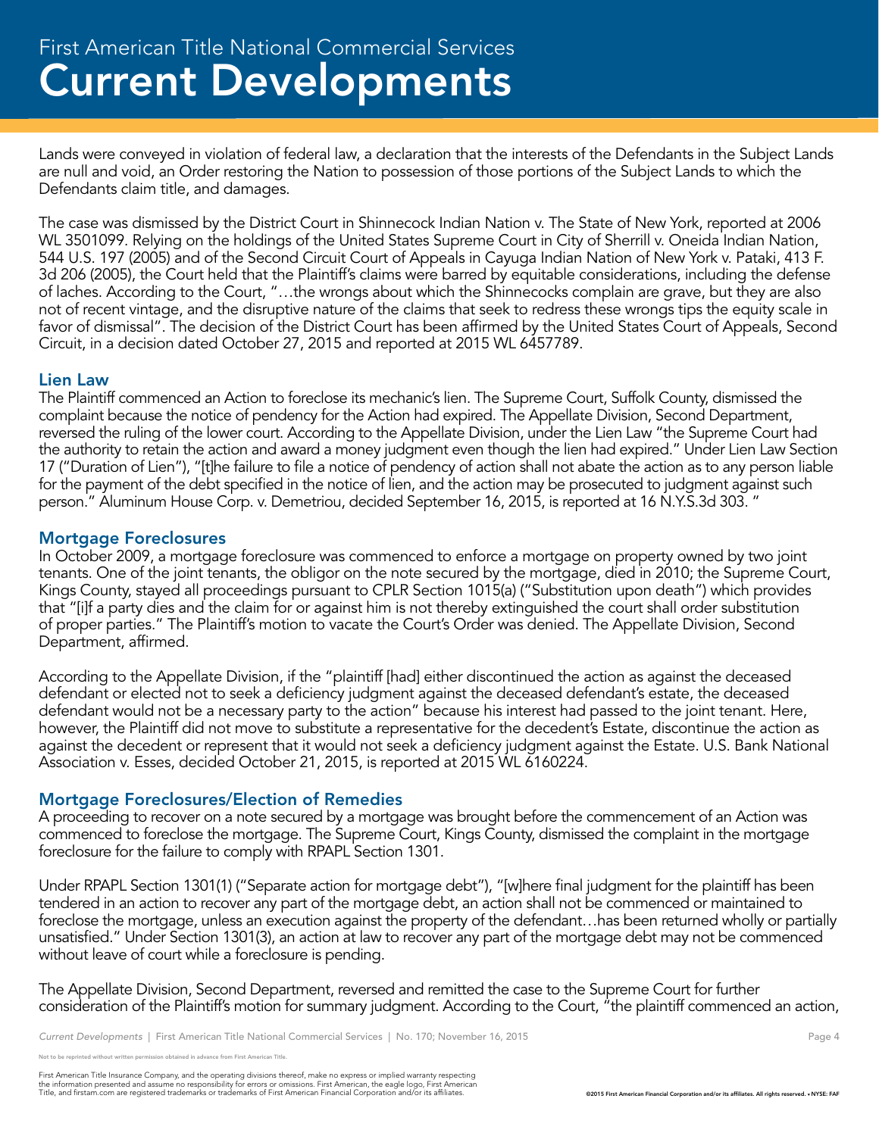Lands were conveyed in violation of federal law, a declaration that the interests of the Defendants in the Subject Lands are null and void, an Order restoring the Nation to possession of those portions of the Subject Lands to which the Defendants claim title, and damages.

The case was dismissed by the District Court in Shinnecock Indian Nation v. The State of New York, reported at 2006 WL 3501099. Relying on the holdings of the United States Supreme Court in City of Sherrill v. Oneida Indian Nation, 544 U.S. 197 (2005) and of the Second Circuit Court of Appeals in Cayuga Indian Nation of New York v. Pataki, 413 F. 3d 206 (2005), the Court held that the Plaintiff's claims were barred by equitable considerations, including the defense of laches. According to the Court, "…the wrongs about which the Shinnecocks complain are grave, but they are also not of recent vintage, and the disruptive nature of the claims that seek to redress these wrongs tips the equity scale in favor of dismissal". The decision of the District Court has been affirmed by the United States Court of Appeals, Second Circuit, in a decision dated October 27, 2015 and reported at 2015 WL 6457789.

#### Lien Law

The Plaintiff commenced an Action to foreclose its mechanic's lien. The Supreme Court, Suffolk County, dismissed the complaint because the notice of pendency for the Action had expired. The Appellate Division, Second Department, reversed the ruling of the lower court. According to the Appellate Division, under the Lien Law "the Supreme Court had the authority to retain the action and award a money judgment even though the lien had expired." Under Lien Law Section 17 ("Duration of Lien"), "[t]he failure to file a notice of pendency of action shall not abate the action as to any person liable for the payment of the debt specified in the notice of lien, and the action may be prosecuted to judgment against such person." Aluminum House Corp. v. Demetriou, decided September 16, 2015, is reported at 16 N.Y.S.3d 303. "

#### Mortgage Foreclosures

In October 2009, a mortgage foreclosure was commenced to enforce a mortgage on property owned by two joint tenants. One of the joint tenants, the obligor on the note secured by the mortgage, died in 2010; the Supreme Court, Kings County, stayed all proceedings pursuant to CPLR Section 1015(a) ("Substitution upon death") which provides that "[i]f a party dies and the claim for or against him is not thereby extinguished the court shall order substitution of proper parties." The Plaintiff's motion to vacate the Court's Order was denied. The Appellate Division, Second Department, affirmed.

According to the Appellate Division, if the "plaintiff [had] either discontinued the action as against the deceased defendant or elected not to seek a deficiency judgment against the deceased defendant's estate, the deceased defendant would not be a necessary party to the action" because his interest had passed to the joint tenant. Here, however, the Plaintiff did not move to substitute a representative for the decedent's Estate, discontinue the action as against the decedent or represent that it would not seek a deficiency judgment against the Estate. U.S. Bank National Association v. Esses, decided October 21, 2015, is reported at 2015 WL 6160224.

#### Mortgage Foreclosures/Election of Remedies

A proceeding to recover on a note secured by a mortgage was brought before the commencement of an Action was commenced to foreclose the mortgage. The Supreme Court, Kings County, dismissed the complaint in the mortgage foreclosure for the failure to comply with RPAPL Section 1301.

Under RPAPL Section 1301(1) ("Separate action for mortgage debt"), "[w]here final judgment for the plaintiff has been tendered in an action to recover any part of the mortgage debt, an action shall not be commenced or maintained to foreclose the mortgage, unless an execution against the property of the defendant…has been returned wholly or partially unsatisfied." Under Section 1301(3), an action at law to recover any part of the mortgage debt may not be commenced without leave of court while a foreclosure is pending.

The Appellate Division, Second Department, reversed and remitted the case to the Supreme Court for further consideration of the Plaintiff's motion for summary judgment. According to the Court, "the plaintiff commenced an action,

not reprinted without written permission obtained in advance from First American Title.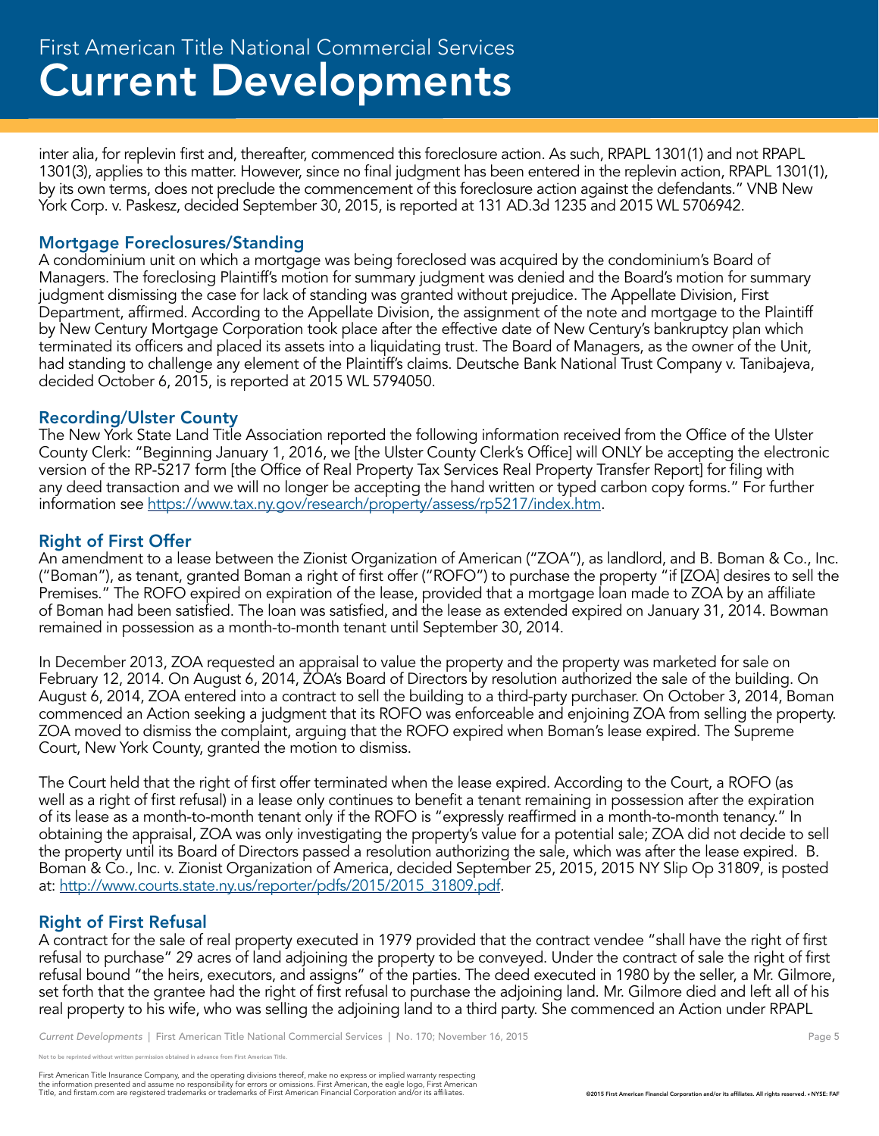## Current Developments First American Title National Commercial Services

inter alia, for replevin first and, thereafter, commenced this foreclosure action. As such, RPAPL 1301(1) and not RPAPL 1301(3), applies to this matter. However, since no final judgment has been entered in the replevin action, RPAPL 1301(1), by its own terms, does not preclude the commencement of this foreclosure action against the defendants." VNB New York Corp. v. Paskesz, decided September 30, 2015, is reported at 131 AD.3d 1235 and 2015 WL 5706942.

#### Mortgage Foreclosures/Standing

A condominium unit on which a mortgage was being foreclosed was acquired by the condominium's Board of Managers. The foreclosing Plaintiff's motion for summary judgment was denied and the Board's motion for summary judgment dismissing the case for lack of standing was granted without prejudice. The Appellate Division, First Department, affirmed. According to the Appellate Division, the assignment of the note and mortgage to the Plaintiff by New Century Mortgage Corporation took place after the effective date of New Century's bankruptcy plan which terminated its officers and placed its assets into a liquidating trust. The Board of Managers, as the owner of the Unit, had standing to challenge any element of the Plaintiff's claims. Deutsche Bank National Trust Company v. Tanibajeva, decided October 6, 2015, is reported at 2015 WL 5794050.

#### Recording/Ulster County

The New York State Land Title Association reported the following information received from the Office of the Ulster County Clerk: "Beginning January 1, 2016, we [the Ulster County Clerk's Office] will ONLY be accepting the electronic version of the RP-5217 form [the Office of Real Property Tax Services Real Property Transfer Report] for filing with any deed transaction and we will no longer be accepting the hand written or typed carbon copy forms." For further information see https://www.tax.ny.gov/research/property/assess/rp5217/index.htm.

#### Right of First Offer

An amendment to a lease between the Zionist Organization of American ("ZOA"), as landlord, and B. Boman & Co., Inc. ("Boman"), as tenant, granted Boman a right of first offer ("ROFO") to purchase the property "if [ZOA] desires to sell the Premises." The ROFO expired on expiration of the lease, provided that a mortgage loan made to ZOA by an affiliate of Boman had been satisfied. The loan was satisfied, and the lease as extended expired on January 31, 2014. Bowman remained in possession as a month-to-month tenant until September 30, 2014.

In December 2013, ZOA requested an appraisal to value the property and the property was marketed for sale on February 12, 2014. On August 6, 2014, ZOA's Board of Directors by resolution authorized the sale of the building. On August 6, 2014, ZOA entered into a contract to sell the building to a third-party purchaser. On October 3, 2014, Boman commenced an Action seeking a judgment that its ROFO was enforceable and enjoining ZOA from selling the property. ZOA moved to dismiss the complaint, arguing that the ROFO expired when Boman's lease expired. The Supreme Court, New York County, granted the motion to dismiss.

The Court held that the right of first offer terminated when the lease expired. According to the Court, a ROFO (as well as a right of first refusal) in a lease only continues to benefit a tenant remaining in possession after the expiration of its lease as a month-to-month tenant only if the ROFO is "expressly reaffirmed in a month-to-month tenancy." In obtaining the appraisal, ZOA was only investigating the property's value for a potential sale; ZOA did not decide to sell the property until its Board of Directors passed a resolution authorizing the sale, which was after the lease expired. B. Boman & Co., Inc. v. Zionist Organization of America, decided September 25, 2015, 2015 NY Slip Op 31809, is posted at: http://www.courts.state.ny.us/reporter/pdfs/2015/2015\_31809.pdf.

#### Right of First Refusal

A contract for the sale of real property executed in 1979 provided that the contract vendee "shall have the right of first refusal to purchase" 29 acres of land adjoining the property to be conveyed. Under the contract of sale the right of first refusal bound "the heirs, executors, and assigns" of the parties. The deed executed in 1980 by the seller, a Mr. Gilmore, set forth that the grantee had the right of first refusal to purchase the adjoining land. Mr. Gilmore died and left all of his real property to his wife, who was selling the adjoining land to a third party. She commenced an Action under RPAPL

```
Current Developments | First American Title National Commercial Services | No. 170; November 16, 2015 Page 5
```
reprinted without written permission obtained in advance from First American Title.